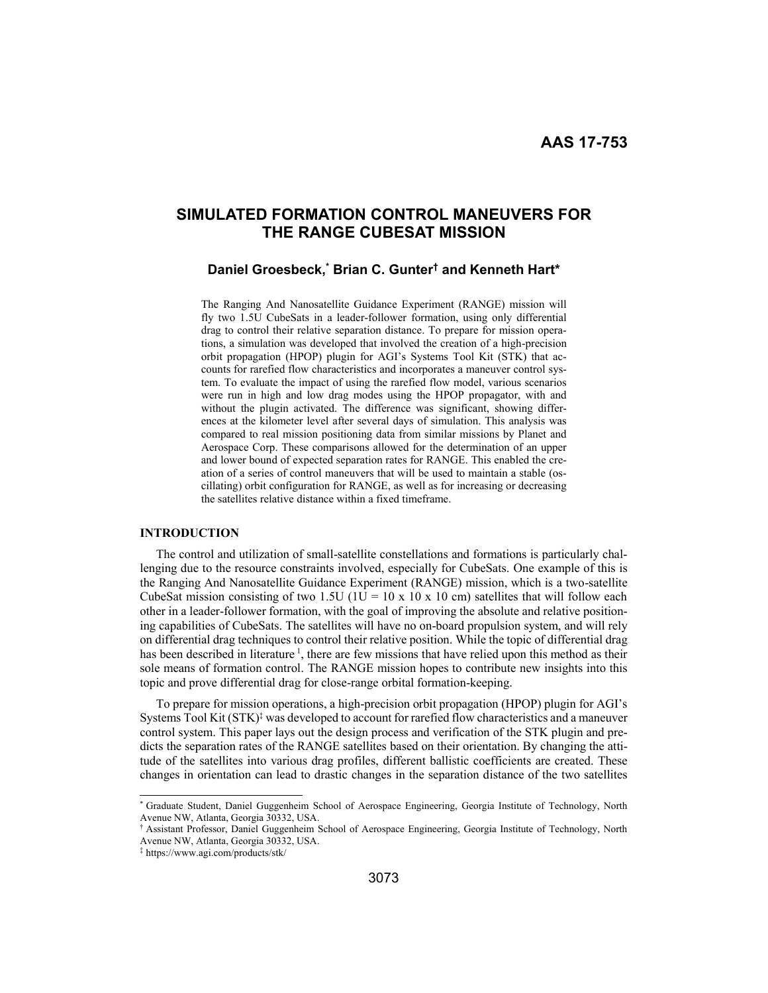# **SIMULATED FORMATION CONTROL MANEUVERS FOR THE RANGE CUBESAT MISSION**

# **Daniel Groesbeck,\* Brian C. Gunter† and Kenneth Hart\***

The Ranging And Nanosatellite Guidance Experiment (RANGE) mission will fly two 1.5U CubeSats in a leader-follower formation, using only differential drag to control their relative separation distance. To prepare for mission operations, a simulation was developed that involved the creation of a high-precision orbit propagation (HPOP) plugin for AGI's Systems Tool Kit (STK) that accounts for rarefied flow characteristics and incorporates a maneuver control system. To evaluate the impact of using the rarefied flow model, various scenarios were run in high and low drag modes using the HPOP propagator, with and without the plugin activated. The difference was significant, showing differences at the kilometer level after several days of simulation. This analysis was compared to real mission positioning data from similar missions by Planet and Aerospace Corp. These comparisons allowed for the determination of an upper and lower bound of expected separation rates for RANGE. This enabled the creation of a series of control maneuvers that will be used to maintain a stable (oscillating) orbit configuration for RANGE, as well as for increasing or decreasing the satellites relative distance within a fixed timeframe.

## **INTRODUCTION**

The control and utilization of small-satellite constellations and formations is particularly challenging due to the resource constraints involved, especially for CubeSats. One example of this is the Ranging And Nanosatellite Guidance Experiment (RANGE) mission, which is a two-satellite CubeSat mission consisting of two 1.5U ( $1U = 10 \times 10 \times 10$  cm) satellites that will follow each other in a leader-follower formation, with the goal of improving the absolute and relative positioning capabilities of CubeSats. The satellites will have no on-board propulsion system, and will rely on differential drag techniques to control their relative position. While the topic of differential drag has been described in literature  $\frac{1}{1}$ , there are few missions that have relied upon this method as their sole means of formation control. The RANGE mission hopes to contribute new insights into this topic and prove differential drag for close-range orbital formation-keeping.

To prepare for mission operations, a high-precision orbit propagation (HPOP) plugin for AGI's Systems Tool Kit  $(STK)^{\ddagger}$  was developed to account for rarefied flow characteristics and a maneuver control system. This paper lays out the design process and verification of the STK plugin and predicts the separation rates of the RANGE satellites based on their orientation. By changing the attitude of the satellites into various drag profiles, different ballistic coefficients are created. These changes in orientation can lead to drastic changes in the separation distance of the two satellites

 <sup>\*</sup> Graduate Student, Daniel Guggenheim School of Aerospace Engineering, Georgia Institute of Technology, North Avenue NW, Atlanta, Georgia 30332, USA.

<sup>†</sup> Assistant Professor, Daniel Guggenheim School of Aerospace Engineering, Georgia Institute of Technology, North Avenue NW, Atlanta, Georgia 30332, USA.

<sup>‡</sup> https://www.agi.com/products/stk/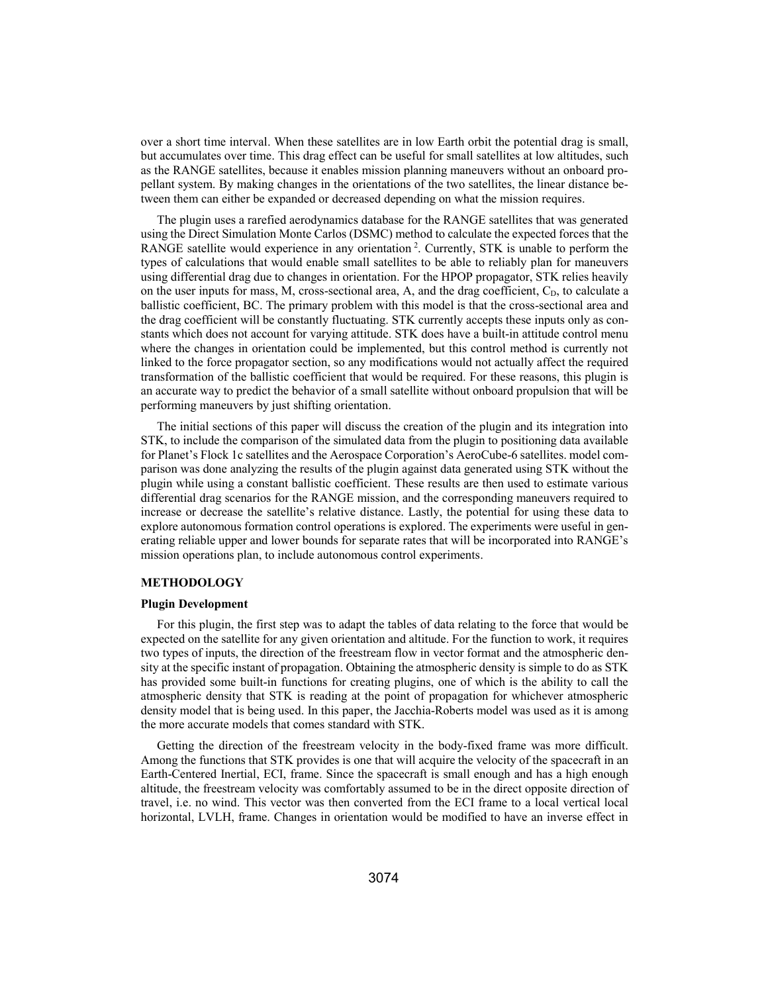over a short time interval. When these satellites are in low Earth orbit the potential drag is small, but accumulates over time. This drag effect can be useful for small satellites at low altitudes, such as the RANGE satellites, because it enables mission planning maneuvers without an onboard propellant system. By making changes in the orientations of the two satellites, the linear distance between them can either be expanded or decreased depending on what the mission requires.

The plugin uses a rarefied aerodynamics database for the RANGE satellites that was generated using the Direct Simulation Monte Carlos (DSMC) method to calculate the expected forces that the RANGE satellite would experience in any orientation<sup>2</sup>. Currently, STK is unable to perform the types of calculations that would enable small satellites to be able to reliably plan for maneuvers using differential drag due to changes in orientation. For the HPOP propagator, STK relies heavily on the user inputs for mass, M, cross-sectional area, A, and the drag coefficient, C<sub>D</sub>, to calculate a ballistic coefficient, BC. The primary problem with this model is that the cross-sectional area and the drag coefficient will be constantly fluctuating. STK currently accepts these inputs only as constants which does not account for varying attitude. STK does have a built-in attitude control menu where the changes in orientation could be implemented, but this control method is currently not linked to the force propagator section, so any modifications would not actually affect the required transformation of the ballistic coefficient that would be required. For these reasons, this plugin is an accurate way to predict the behavior of a small satellite without onboard propulsion that will be performing maneuvers by just shifting orientation.

The initial sections of this paper will discuss the creation of the plugin and its integration into STK, to include the comparison of the simulated data from the plugin to positioning data available for Planet's Flock 1c satellites and the Aerospace Corporation's AeroCube-6 satellites. model comparison was done analyzing the results of the plugin against data generated using STK without the plugin while using a constant ballistic coefficient. These results are then used to estimate various differential drag scenarios for the RANGE mission, and the corresponding maneuvers required to increase or decrease the satellite's relative distance. Lastly, the potential for using these data to explore autonomous formation control operations is explored. The experiments were useful in generating reliable upper and lower bounds for separate rates that will be incorporated into RANGE's mission operations plan, to include autonomous control experiments.

## **METHODOLOGY**

#### **Plugin Development**

For this plugin, the first step was to adapt the tables of data relating to the force that would be expected on the satellite for any given orientation and altitude. For the function to work, it requires two types of inputs, the direction of the freestream flow in vector format and the atmospheric density at the specific instant of propagation. Obtaining the atmospheric density is simple to do as STK has provided some built-in functions for creating plugins, one of which is the ability to call the atmospheric density that STK is reading at the point of propagation for whichever atmospheric density model that is being used. In this paper, the Jacchia-Roberts model was used as it is among the more accurate models that comes standard with STK.

Getting the direction of the freestream velocity in the body-fixed frame was more difficult. Among the functions that STK provides is one that will acquire the velocity of the spacecraft in an Earth-Centered Inertial, ECI, frame. Since the spacecraft is small enough and has a high enough altitude, the freestream velocity was comfortably assumed to be in the direct opposite direction of travel, i.e. no wind. This vector was then converted from the ECI frame to a local vertical local horizontal, LVLH, frame. Changes in orientation would be modified to have an inverse effect in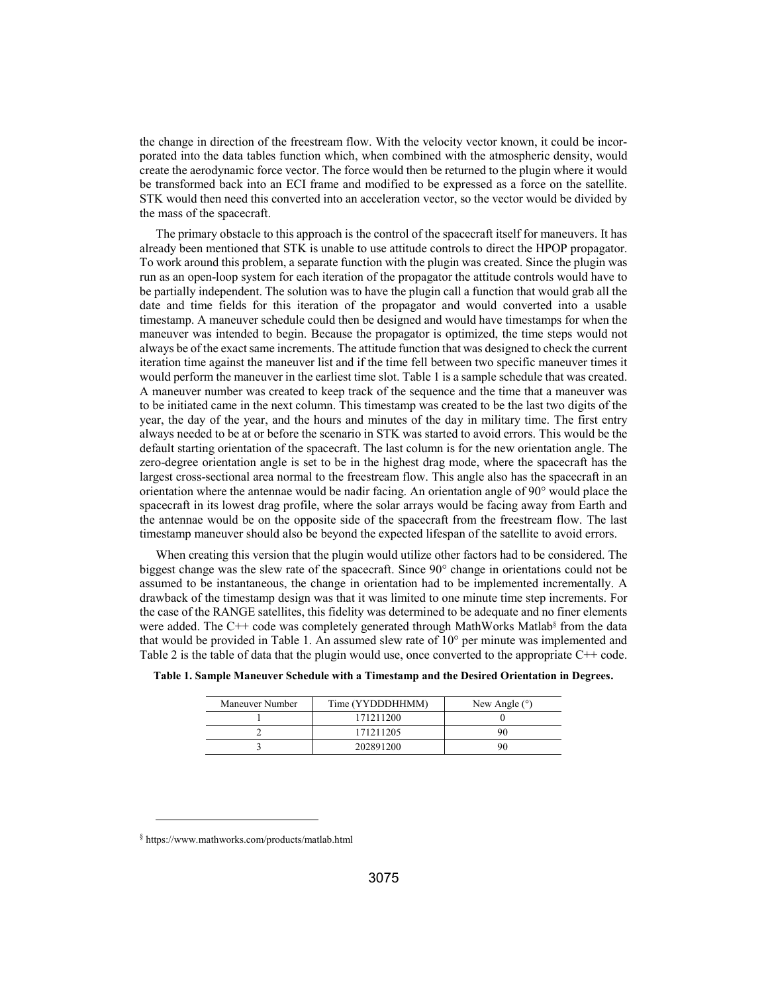the change in direction of the freestream flow. With the velocity vector known, it could be incorporated into the data tables function which, when combined with the atmospheric density, would create the aerodynamic force vector. The force would then be returned to the plugin where it would be transformed back into an ECI frame and modified to be expressed as a force on the satellite. STK would then need this converted into an acceleration vector, so the vector would be divided by the mass of the spacecraft.

The primary obstacle to this approach is the control of the spacecraft itself for maneuvers. It has already been mentioned that STK is unable to use attitude controls to direct the HPOP propagator. To work around this problem, a separate function with the plugin was created. Since the plugin was run as an open-loop system for each iteration of the propagator the attitude controls would have to be partially independent. The solution was to have the plugin call a function that would grab all the date and time fields for this iteration of the propagator and would converted into a usable timestamp. A maneuver schedule could then be designed and would have timestamps for when the maneuver was intended to begin. Because the propagator is optimized, the time steps would not always be of the exact same increments. The attitude function that was designed to check the current iteration time against the maneuver list and if the time fell between two specific maneuver times it would perform the maneuver in the earliest time slot. Table 1 is a sample schedule that was created. A maneuver number was created to keep track of the sequence and the time that a maneuver was to be initiated came in the next column. This timestamp was created to be the last two digits of the year, the day of the year, and the hours and minutes of the day in military time. The first entry always needed to be at or before the scenario in STK was started to avoid errors. This would be the default starting orientation of the spacecraft. The last column is for the new orientation angle. The zero-degree orientation angle is set to be in the highest drag mode, where the spacecraft has the largest cross-sectional area normal to the freestream flow. This angle also has the spacecraft in an orientation where the antennae would be nadir facing. An orientation angle of 90° would place the spacecraft in its lowest drag profile, where the solar arrays would be facing away from Earth and the antennae would be on the opposite side of the spacecraft from the freestream flow. The last timestamp maneuver should also be beyond the expected lifespan of the satellite to avoid errors.

When creating this version that the plugin would utilize other factors had to be considered. The biggest change was the slew rate of the spacecraft. Since 90° change in orientations could not be assumed to be instantaneous, the change in orientation had to be implemented incrementally. A drawback of the timestamp design was that it was limited to one minute time step increments. For the case of the RANGE satellites, this fidelity was determined to be adequate and no finer elements were added. The C++ code was completely generated through MathWorks Matlab<sup>§</sup> from the data that would be provided in Table 1. An assumed slew rate of 10° per minute was implemented and Table 2 is the table of data that the plugin would use, once converted to the appropriate C++ code.

| Maneuver Number | Time (YYDDDHHMM) | New Angle $(°)$ |
|-----------------|------------------|-----------------|
|                 | 171211200        |                 |
|                 | 171211205        | 90              |
|                 | 202891200        | 90              |

**Table 1. Sample Maneuver Schedule with a Timestamp and the Desired Orientation in Degrees.** 

l

<sup>§</sup> https://www.mathworks.com/products/matlab.html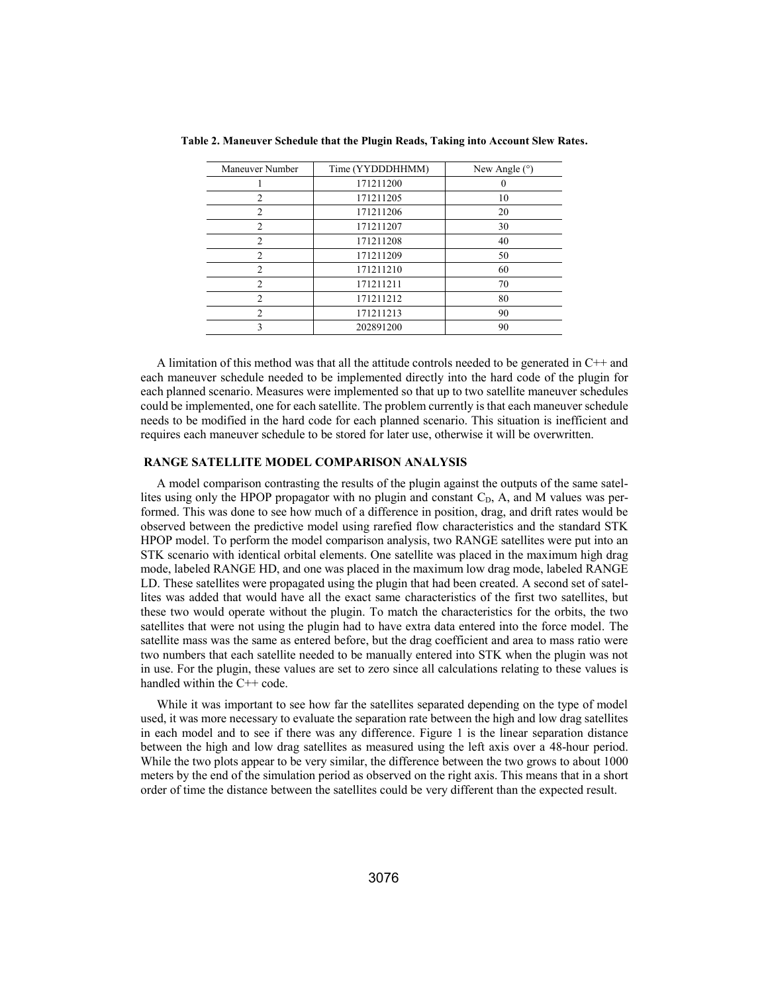| Maneuver Number    | Time (YYDDDHHMM) | New Angle $(°)$ |
|--------------------|------------------|-----------------|
|                    | 171211200        |                 |
| $\mathfrak{D}$     | 171211205        | 10              |
| $\mathfrak{D}_{1}$ | 171211206        | 20              |
| $\mathcal{D}$      | 171211207        | 30              |
| $\mathcal{D}$      | 171211208        | 40              |
| 2                  | 171211209        | 50              |
| $\mathcal{D}$      | 171211210        | 60              |
| $\mathcal{D}$      | 171211211        | 70              |
| $\mathfrak{D}$     | 171211212        | 80              |
| $\mathfrak{D}$     | 171211213        | 90              |
| ٦                  | 202891200        | 90              |

**Table 2. Maneuver Schedule that the Plugin Reads, Taking into Account Slew Rates.** 

A limitation of this method was that all the attitude controls needed to be generated in C++ and each maneuver schedule needed to be implemented directly into the hard code of the plugin for each planned scenario. Measures were implemented so that up to two satellite maneuver schedules could be implemented, one for each satellite. The problem currently is that each maneuver schedule needs to be modified in the hard code for each planned scenario. This situation is inefficient and requires each maneuver schedule to be stored for later use, otherwise it will be overwritten.

## **RANGE SATELLITE MODEL COMPARISON ANALYSIS**

A model comparison contrasting the results of the plugin against the outputs of the same satellites using only the HPOP propagator with no plugin and constant  $C<sub>D</sub>$ , A, and M values was performed. This was done to see how much of a difference in position, drag, and drift rates would be observed between the predictive model using rarefied flow characteristics and the standard STK HPOP model. To perform the model comparison analysis, two RANGE satellites were put into an STK scenario with identical orbital elements. One satellite was placed in the maximum high drag mode, labeled RANGE HD, and one was placed in the maximum low drag mode, labeled RANGE LD. These satellites were propagated using the plugin that had been created. A second set of satellites was added that would have all the exact same characteristics of the first two satellites, but these two would operate without the plugin. To match the characteristics for the orbits, the two satellites that were not using the plugin had to have extra data entered into the force model. The satellite mass was the same as entered before, but the drag coefficient and area to mass ratio were two numbers that each satellite needed to be manually entered into STK when the plugin was not in use. For the plugin, these values are set to zero since all calculations relating to these values is handled within the C++ code.

While it was important to see how far the satellites separated depending on the type of model used, it was more necessary to evaluate the separation rate between the high and low drag satellites in each model and to see if there was any difference. Figure 1 is the linear separation distance between the high and low drag satellites as measured using the left axis over a 48-hour period. While the two plots appear to be very similar, the difference between the two grows to about 1000 meters by the end of the simulation period as observed on the right axis. This means that in a short order of time the distance between the satellites could be very different than the expected result.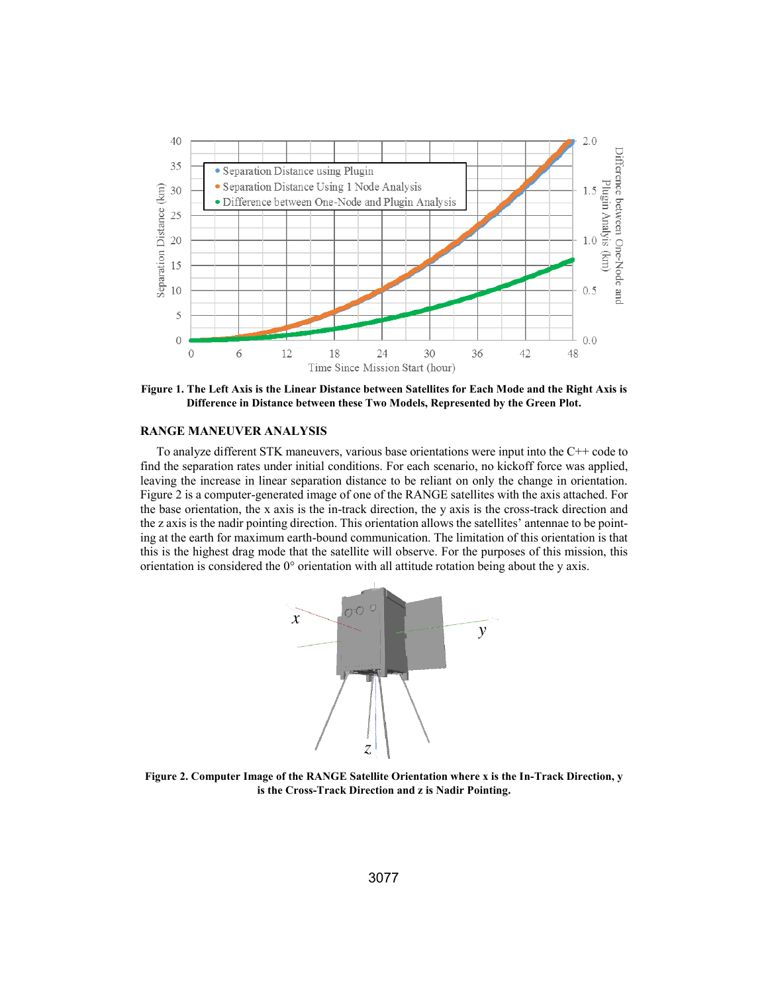

**Figure 1. The Left Axis is the Linear Distance between Satellites for Each Mode and the Right Axis is Difference in Distance between these Two Models, Represented by the Green Plot.** 

## **RANGE MANEUVER ANALYSIS**

To analyze different STK maneuvers, various base orientations were input into the C++ code to find the separation rates under initial conditions. For each scenario, no kickoff force was applied, leaving the increase in linear separation distance to be reliant on only the change in orientation. Figure 2 is a computer-generated image of one of the RANGE satellites with the axis attached. For the base orientation, the x axis is the in-track direction, the y axis is the cross-track direction and the z axis is the nadir pointing direction. This orientation allows the satellites' antennae to be pointing at the earth for maximum earth-bound communication. The limitation of this orientation is that this is the highest drag mode that the satellite will observe. For the purposes of this mission, this orientation is considered the 0° orientation with all attitude rotation being about the y axis.



**Figure 2. Computer Image of the RANGE Satellite Orientation where x is the In-Track Direction, y is the Cross-Track Direction and z is Nadir Pointing.**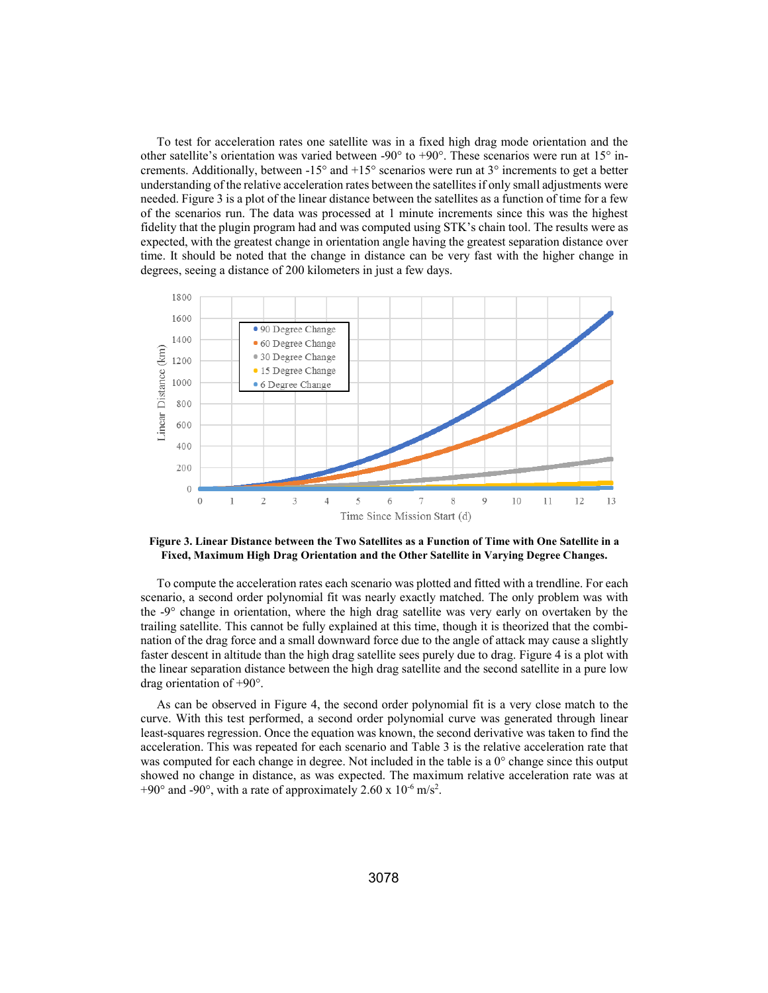To test for acceleration rates one satellite was in a fixed high drag mode orientation and the other satellite's orientation was varied between -90 $^{\circ}$  to +90 $^{\circ}$ . These scenarios were run at 15 $^{\circ}$  increments. Additionally, between  $-15^{\circ}$  and  $+15^{\circ}$  scenarios were run at  $3^{\circ}$  increments to get a better understanding of the relative acceleration rates between the satellites if only small adjustments were needed. Figure 3 is a plot of the linear distance between the satellites as a function of time for a few of the scenarios run. The data was processed at 1 minute increments since this was the highest fidelity that the plugin program had and was computed using STK's chain tool. The results were as expected, with the greatest change in orientation angle having the greatest separation distance over time. It should be noted that the change in distance can be very fast with the higher change in degrees, seeing a distance of 200 kilometers in just a few days.



**Figure 3. Linear Distance between the Two Satellites as a Function of Time with One Satellite in a Fixed, Maximum High Drag Orientation and the Other Satellite in Varying Degree Changes.** 

To compute the acceleration rates each scenario was plotted and fitted with a trendline. For each scenario, a second order polynomial fit was nearly exactly matched. The only problem was with the -9° change in orientation, where the high drag satellite was very early on overtaken by the trailing satellite. This cannot be fully explained at this time, though it is theorized that the combination of the drag force and a small downward force due to the angle of attack may cause a slightly faster descent in altitude than the high drag satellite sees purely due to drag. Figure 4 is a plot with the linear separation distance between the high drag satellite and the second satellite in a pure low drag orientation of +90°.

As can be observed in Figure 4, the second order polynomial fit is a very close match to the curve. With this test performed, a second order polynomial curve was generated through linear least-squares regression. Once the equation was known, the second derivative was taken to find the acceleration. This was repeated for each scenario and Table 3 is the relative acceleration rate that was computed for each change in degree. Not included in the table is a 0° change since this output showed no change in distance, as was expected. The maximum relative acceleration rate was at +90 $^{\circ}$  and -90 $^{\circ}$ , with a rate of approximately 2.60 x 10 $^{\circ}$  m/s<sup>2</sup>.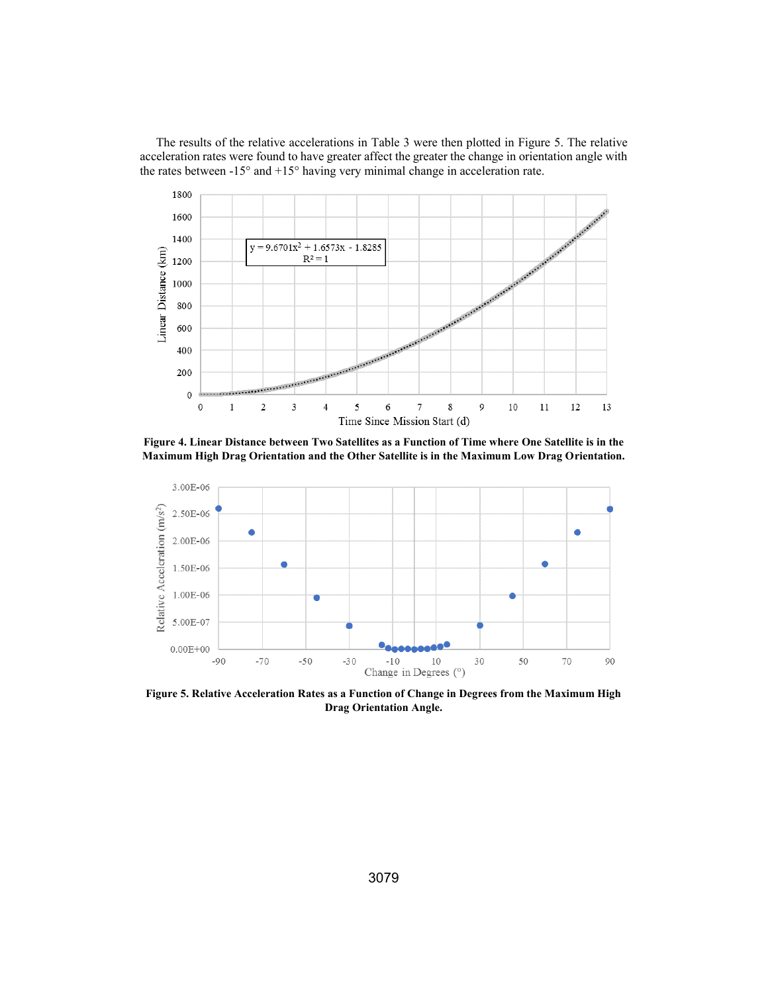The results of the relative accelerations in Table 3 were then plotted in Figure 5. The relative acceleration rates were found to have greater affect the greater the change in orientation angle with the rates between  $-15^{\circ}$  and  $+15^{\circ}$  having very minimal change in acceleration rate.



**Figure 4. Linear Distance between Two Satellites as a Function of Time where One Satellite is in the Maximum High Drag Orientation and the Other Satellite is in the Maximum Low Drag Orientation.** 



**Figure 5. Relative Acceleration Rates as a Function of Change in Degrees from the Maximum High Drag Orientation Angle.**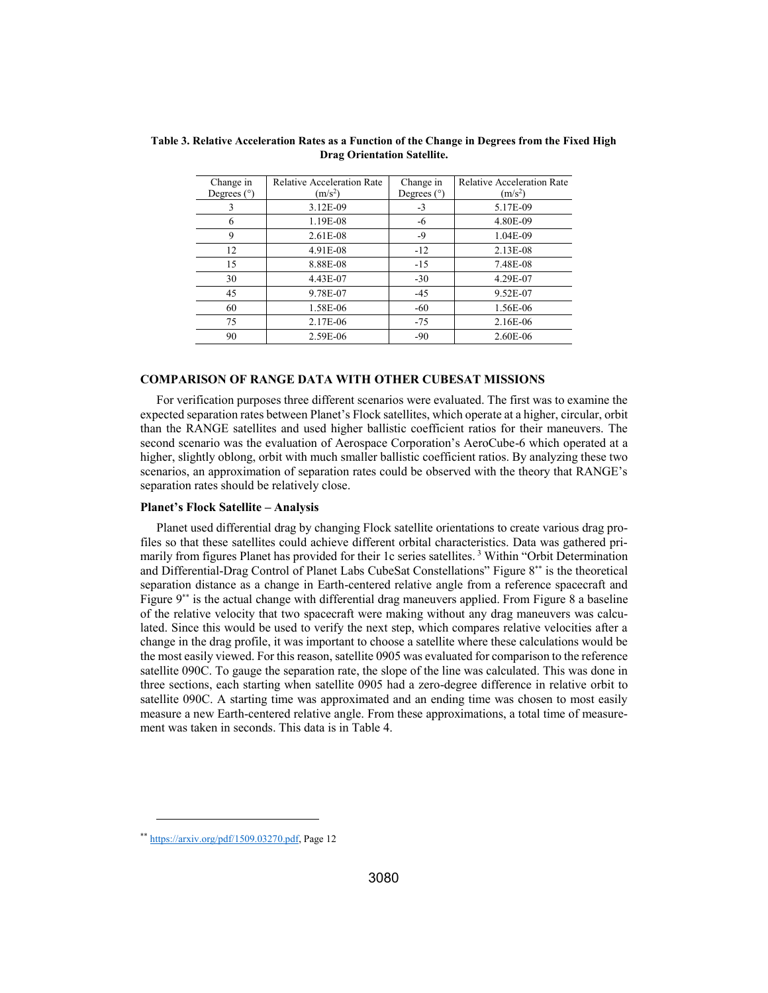| Change in     | <b>Relative Acceleration Rate</b> | Change in     | <b>Relative Acceleration Rate</b> |
|---------------|-----------------------------------|---------------|-----------------------------------|
| Degrees $(°)$ | $(m/s^2)$                         | Degrees $(°)$ | $(m/s^2)$                         |
|               | 3.12E-09                          | $-3$          | 5.17E-09                          |
| 6             | 1.19E-08                          | -6            | 4.80E-09                          |
| 9             | $2.61E-08$                        | -9            | 1.04E-09                          |
| 12            | 4.91E-08                          | $-12$         | 2.13E-08                          |
| 15            | 8.88E-08                          | $-15$         | 7.48E-08                          |
| 30            | 4.43E-07                          | $-30$         | 4.29E-07                          |
| 45            | 9.78E-07                          | $-45$         | 9.52E-07                          |
| 60            | 1.58E-06                          | $-60$         | 1.56E-06                          |
| 75            | 2.17E-06                          | $-75$         | 2.16E-06                          |
| 90            | 2.59E-06                          | $-90$         | 2.60E-06                          |

**Table 3. Relative Acceleration Rates as a Function of the Change in Degrees from the Fixed High Drag Orientation Satellite.** 

## **COMPARISON OF RANGE DATA WITH OTHER CUBESAT MISSIONS**

For verification purposes three different scenarios were evaluated. The first was to examine the expected separation rates between Planet's Flock satellites, which operate at a higher, circular, orbit than the RANGE satellites and used higher ballistic coefficient ratios for their maneuvers. The second scenario was the evaluation of Aerospace Corporation's AeroCube-6 which operated at a higher, slightly oblong, orbit with much smaller ballistic coefficient ratios. By analyzing these two scenarios, an approximation of separation rates could be observed with the theory that RANGE's separation rates should be relatively close.

#### **Planet's Flock Satellite – Analysis**

Planet used differential drag by changing Flock satellite orientations to create various drag profiles so that these satellites could achieve different orbital characteristics. Data was gathered primarily from figures Planet has provided for their 1c series satellites.<sup>3</sup> Within "Orbit Determination and Differential-Drag Control of Planet Labs CubeSat Constellations" Figure 8\*\* is the theoretical separation distance as a change in Earth-centered relative angle from a reference spacecraft and Figure 9\*\* is the actual change with differential drag maneuvers applied. From Figure 8 a baseline of the relative velocity that two spacecraft were making without any drag maneuvers was calculated. Since this would be used to verify the next step, which compares relative velocities after a change in the drag profile, it was important to choose a satellite where these calculations would be the most easily viewed. For this reason, satellite 0905 was evaluated for comparison to the reference satellite 090C. To gauge the separation rate, the slope of the line was calculated. This was done in three sections, each starting when satellite 0905 had a zero-degree difference in relative orbit to satellite 090C. A starting time was approximated and an ending time was chosen to most easily measure a new Earth-centered relative angle. From these approximations, a total time of measurement was taken in seconds. This data is in Table 4.

-

<sup>\*\*</sup> https://arxiv.org/pdf/1509.03270.pdf, Page 12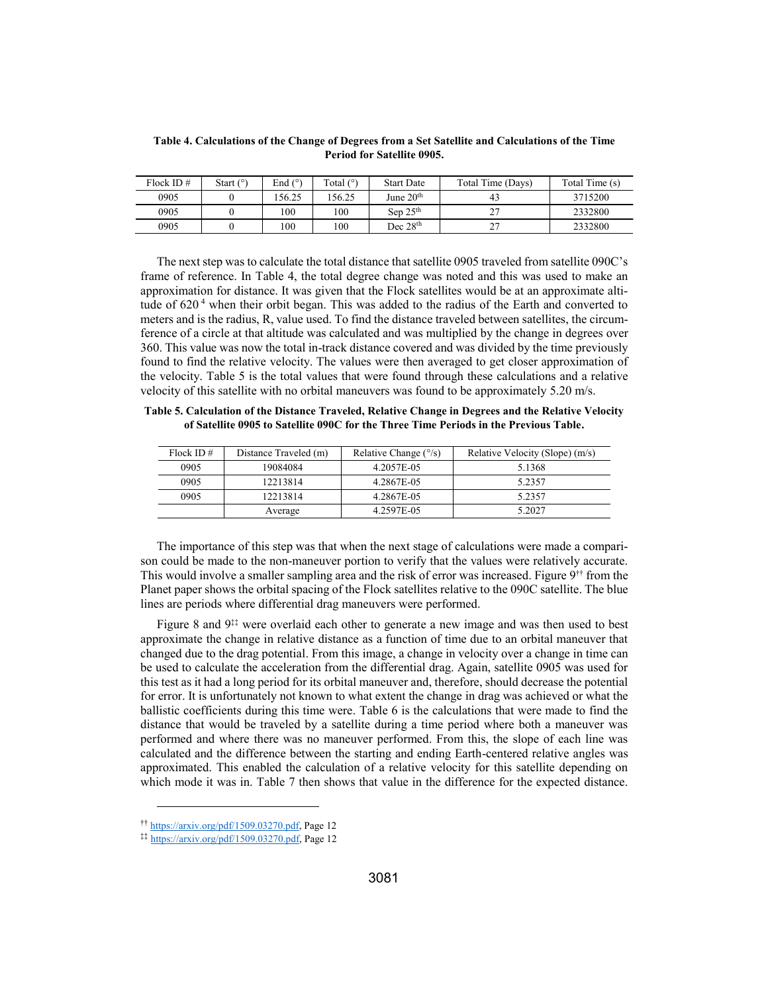| Flock ID $#$ | Start $(°)$ | End $(°)$ | Total $(°)$ | <b>Start Date</b> | Total Time (Davs) | Total Time (s) |
|--------------|-------------|-----------|-------------|-------------------|-------------------|----------------|
| 0905         |             | 56.25     | 56.25       | June $20th$       | 43                | 3715200        |
| 0905         |             | 100       | 100         | Sep $25th$        | רר<br><u>.</u>    | 2332800        |
| 0905         |             | 100       | 100         | Dec $28th$        | ີ<br><u>.</u>     | 2332800        |

**Table 4. Calculations of the Change of Degrees from a Set Satellite and Calculations of the Time Period for Satellite 0905.** 

The next step was to calculate the total distance that satellite 0905 traveled from satellite 090C's frame of reference. In Table 4, the total degree change was noted and this was used to make an approximation for distance. It was given that the Flock satellites would be at an approximate altitude of  $620<sup>4</sup>$  when their orbit began. This was added to the radius of the Earth and converted to meters and is the radius, R, value used. To find the distance traveled between satellites, the circumference of a circle at that altitude was calculated and was multiplied by the change in degrees over 360. This value was now the total in-track distance covered and was divided by the time previously found to find the relative velocity. The values were then averaged to get closer approximation of the velocity. Table 5 is the total values that were found through these calculations and a relative velocity of this satellite with no orbital maneuvers was found to be approximately 5.20 m/s.

**Table 5. Calculation of the Distance Traveled, Relative Change in Degrees and the Relative Velocity of Satellite 0905 to Satellite 090C for the Three Time Periods in the Previous Table.** 

| Flock ID $#$ | Distance Traveled (m) | Relative Change $(^{\circ}/s)$ | Relative Velocity (Slope) (m/s) |
|--------------|-----------------------|--------------------------------|---------------------------------|
| 0905         | 19084084              | 4.2057E-05                     | 5.1368                          |
| 0905         | 12213814              | 4.2867E-05                     | 5.2357                          |
| 0905         | 12213814              | 4.2867E-05                     | 5.2357                          |
|              | Average               | 4.2597E-05                     | 5.2027                          |

The importance of this step was that when the next stage of calculations were made a comparison could be made to the non-maneuver portion to verify that the values were relatively accurate. This would involve a smaller sampling area and the risk of error was increased. Figure 9†† from the Planet paper shows the orbital spacing of the Flock satellites relative to the 090C satellite. The blue lines are periods where differential drag maneuvers were performed.

Figure 8 and  $9^{\ddagger\ddagger}$  were overlaid each other to generate a new image and was then used to best approximate the change in relative distance as a function of time due to an orbital maneuver that changed due to the drag potential. From this image, a change in velocity over a change in time can be used to calculate the acceleration from the differential drag. Again, satellite 0905 was used for this test as it had a long period for its orbital maneuver and, therefore, should decrease the potential for error. It is unfortunately not known to what extent the change in drag was achieved or what the ballistic coefficients during this time were. Table 6 is the calculations that were made to find the distance that would be traveled by a satellite during a time period where both a maneuver was performed and where there was no maneuver performed. From this, the slope of each line was calculated and the difference between the starting and ending Earth-centered relative angles was approximated. This enabled the calculation of a relative velocity for this satellite depending on which mode it was in. Table 7 then shows that value in the difference for the expected distance.

l

<sup>††</sup> https://arxiv.org/pdf/1509.03270.pdf, Page 12

<sup>‡‡</sup> https://arxiv.org/pdf/1509.03270.pdf, Page 12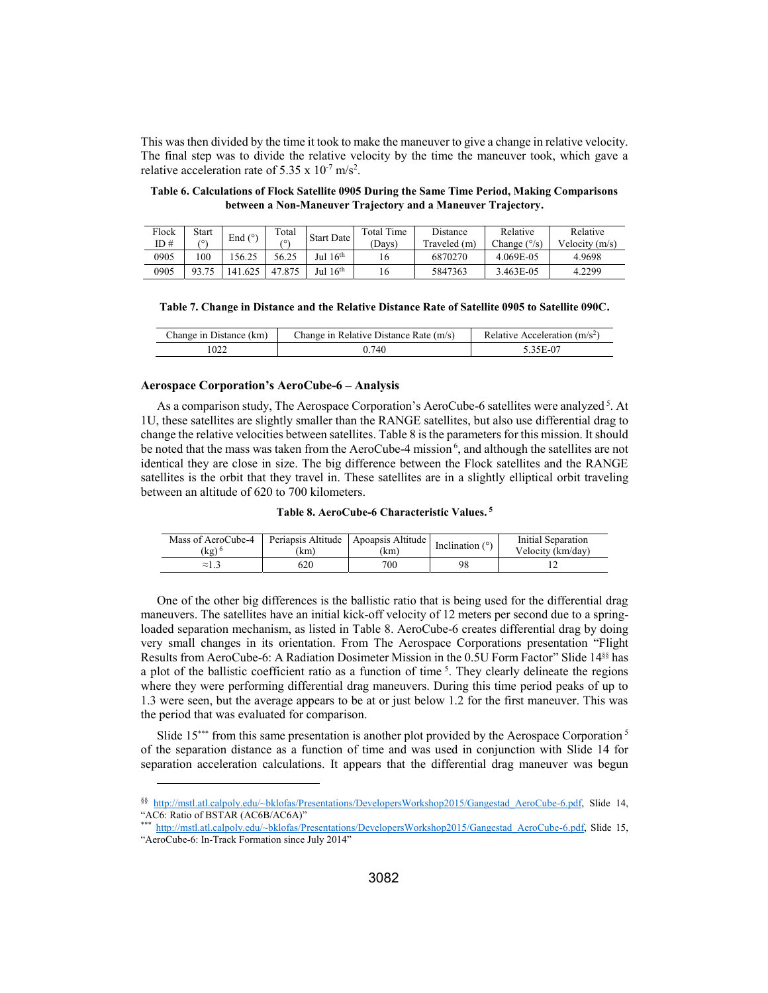This was then divided by the time it took to make the maneuver to give a change in relative velocity. The final step was to divide the relative velocity by the time the maneuver took, which gave a relative acceleration rate of 5.35 x  $10^{-7}$  m/s<sup>2</sup>.

**Table 6. Calculations of Flock Satellite 0905 During the Same Time Period, Making Comparisons between a Non-Maneuver Trajectory and a Maneuver Trajectory.** 

| Flock | Start | End $(°)$ | Total      | <b>Start Date</b>    | Total Time | Distance     | Relative              | Relative         |
|-------|-------|-----------|------------|----------------------|------------|--------------|-----------------------|------------------|
| ID#   | 70,   |           | /٥١        |                      | Davs)      | Traveled (m) | Change $(^{\circ}/s)$ | Velocity $(m/s)$ |
| 0905  | 100   | 56.25     | 56.25      | Jul 16 <sup>th</sup> | lб         | 6870270      | 4.069E-05             | 4.9698           |
| 0905  | 93.75 | 41.625    | .875<br>47 | Jul $16th$           | 10.        | 5847363      | 3.463E-05             | 4.2299           |

|  | Table 7. Change in Distance and the Relative Distance Rate of Satellite 0905 to Satellite 090C. |  |  |  |  |  |
|--|-------------------------------------------------------------------------------------------------|--|--|--|--|--|
|  |                                                                                                 |  |  |  |  |  |

| Change in Distance (km) | Change in Relative Distance Rate (m/s) | Relative Acceleration $(m/s2)$ |
|-------------------------|----------------------------------------|--------------------------------|
| 022                     | .740                                   | 25 D. 07                       |

#### **Aerospace Corporation's AeroCube-6 – Analysis**

 $\overline{a}$ 

As a comparison study, The Aerospace Corporation's AeroCube-6 satellites were analyzed<sup>5</sup>. At 1U, these satellites are slightly smaller than the RANGE satellites, but also use differential drag to change the relative velocities between satellites. Table 8 is the parameters for this mission. It should be noted that the mass was taken from the AeroCube-4 mission<sup>6</sup>, and although the satellites are not identical they are close in size. The big difference between the Flock satellites and the RANGE satellites is the orbit that they travel in. These satellites are in a slightly elliptical orbit traveling between an altitude of 620 to 700 kilometers.

| Table 8. AeroCube-6 Characteristic Values. <sup>5</sup> |  |  |  |  |
|---------------------------------------------------------|--|--|--|--|
|---------------------------------------------------------|--|--|--|--|

| Mass of AeroCube-4 | Periapsis Altitude | Apoapsis Altitude | Inclination $(°)$ | Initial Separation |
|--------------------|--------------------|-------------------|-------------------|--------------------|
| (kg)'              | 'km)               | (km)              |                   | Velocity (km/day)  |
| $\approx 1.3$      | 520                | 700               | 98                |                    |

One of the other big differences is the ballistic ratio that is being used for the differential drag maneuvers. The satellites have an initial kick-off velocity of 12 meters per second due to a springloaded separation mechanism, as listed in Table 8. AeroCube-6 creates differential drag by doing very small changes in its orientation. From The Aerospace Corporations presentation "Flight Results from AeroCube-6: A Radiation Dosimeter Mission in the 0.5U Form Factor" Slide 14§§ has a plot of the ballistic coefficient ratio as a function of time 5. They clearly delineate the regions where they were performing differential drag maneuvers. During this time period peaks of up to 1.3 were seen, but the average appears to be at or just below 1.2 for the first maneuver. This was the period that was evaluated for comparison.

Slide  $15***$  from this same presentation is another plot provided by the Aerospace Corporation  $5$ of the separation distance as a function of time and was used in conjunction with Slide 14 for separation acceleration calculations. It appears that the differential drag maneuver was begun

<sup>§§</sup> http://mstl.atl.calpoly.edu/~bklofas/Presentations/DevelopersWorkshop2015/Gangestad\_AeroCube-6.pdf, Slide 14, "AC6: Ratio of BSTAR (AC6B/AC6A)"

<sup>\*\*\*</sup> http://mstl.atl.calpoly.edu/~bklofas/Presentations/DevelopersWorkshop2015/Gangestad\_AeroCube-6.pdf, Slide 15, "AeroCube-6: In-Track Formation since July 2014"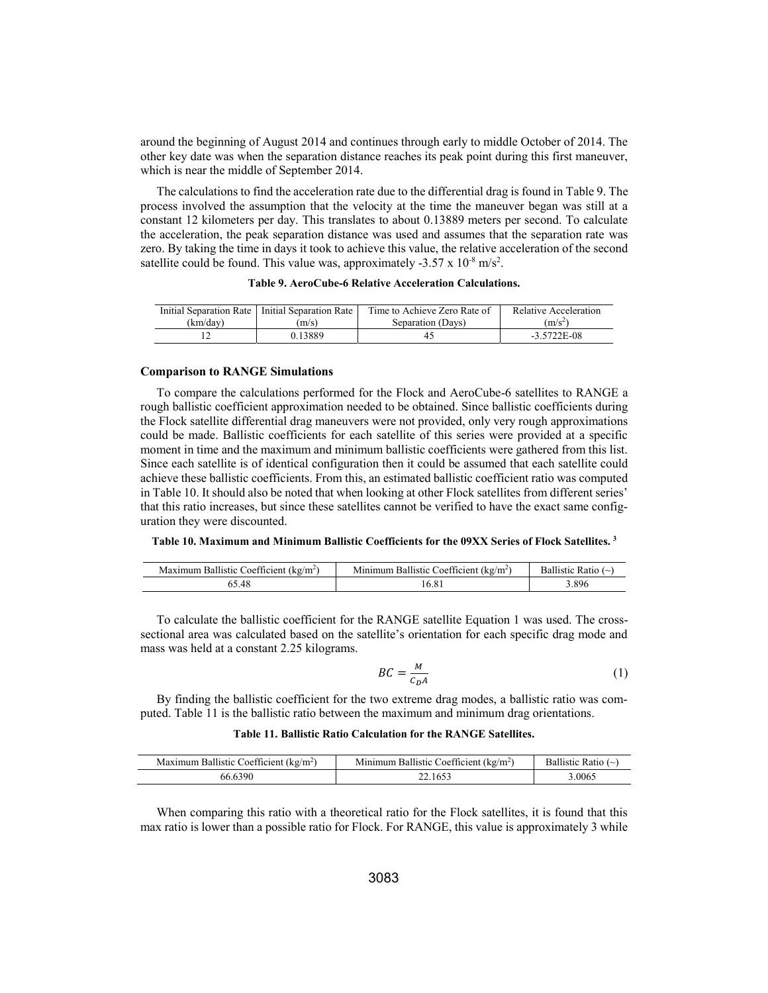around the beginning of August 2014 and continues through early to middle October of 2014. The other key date was when the separation distance reaches its peak point during this first maneuver, which is near the middle of September 2014.

The calculations to find the acceleration rate due to the differential drag is found in Table 9. The process involved the assumption that the velocity at the time the maneuver began was still at a constant 12 kilometers per day. This translates to about 0.13889 meters per second. To calculate the acceleration, the peak separation distance was used and assumes that the separation rate was zero. By taking the time in days it took to achieve this value, the relative acceleration of the second satellite could be found. This value was, approximately -3.57 x  $10^{-8}$  m/s<sup>2</sup>.

|          | Initial Separation Rate   Initial Separation Rate | Time to Achieve Zero Rate of | Relative Acceleration |
|----------|---------------------------------------------------|------------------------------|-----------------------|
| (km/dav) | m/s                                               | Separation (Davs)            | $\rm (m/s^2)$         |
|          | . <u>13889</u>                                    | 4.                           | $-3.5722E-08$         |

#### **Comparison to RANGE Simulations**

To compare the calculations performed for the Flock and AeroCube-6 satellites to RANGE a rough ballistic coefficient approximation needed to be obtained. Since ballistic coefficients during the Flock satellite differential drag maneuvers were not provided, only very rough approximations could be made. Ballistic coefficients for each satellite of this series were provided at a specific moment in time and the maximum and minimum ballistic coefficients were gathered from this list. Since each satellite is of identical configuration then it could be assumed that each satellite could achieve these ballistic coefficients. From this, an estimated ballistic coefficient ratio was computed in Table 10. It should also be noted that when looking at other Flock satellites from different series' that this ratio increases, but since these satellites cannot be verified to have the exact same configuration they were discounted.

#### **Table 10. Maximum and Minimum Ballistic Coefficients for the 09XX Series of Flock Satellites. 3**

| $^{cc}$<br>oefficient<br>$Kg/m^2$<br>-Ballistic<br>.mur<br>Maxin | Coefficient<br>Ballistic<br>$(kg/m^2)$<br>$M$ <sub>1111</sub> $m$ <sub>11<math>m</math></sub> | Katio<br>- Ballistic |
|------------------------------------------------------------------|-----------------------------------------------------------------------------------------------|----------------------|
|                                                                  |                                                                                               | .896                 |

To calculate the ballistic coefficient for the RANGE satellite Equation 1 was used. The crosssectional area was calculated based on the satellite's orientation for each specific drag mode and mass was held at a constant 2.25 kilograms.

$$
BC = \frac{M}{c_D A} \tag{1}
$$

By finding the ballistic coefficient for the two extreme drag modes, a ballistic ratio was computed. Table 11 is the ballistic ratio between the maximum and minimum drag orientations.

#### **Table 11. Ballistic Ratio Calculation for the RANGE Satellites.**

| a Ballistic Coefficient (kg/m <sup>2</sup> )<br>Maximum | $\alpha$<br>i Ballistic Coefficient⊤<br>(kg/m <sup>2</sup> )<br>Minimum | Ratio $(\sim)$<br>Ballistic |
|---------------------------------------------------------|-------------------------------------------------------------------------|-----------------------------|
| 390<br>.56.6                                            | 22.165.                                                                 | .0065                       |

When comparing this ratio with a theoretical ratio for the Flock satellites, it is found that this max ratio is lower than a possible ratio for Flock. For RANGE, this value is approximately 3 while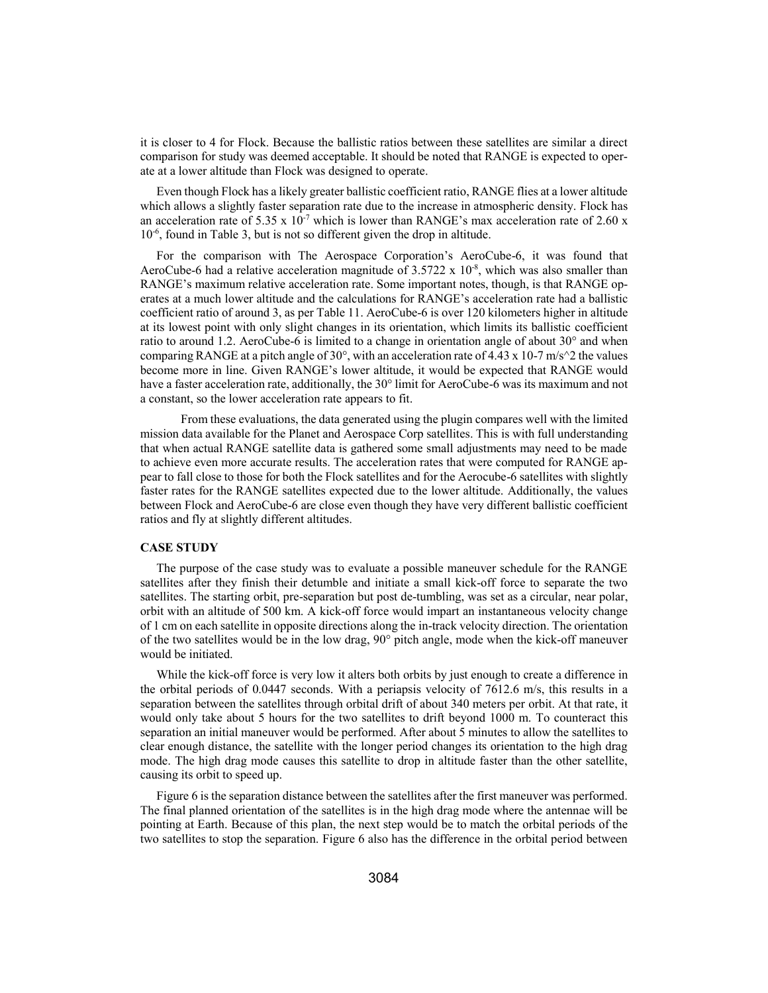it is closer to 4 for Flock. Because the ballistic ratios between these satellites are similar a direct comparison for study was deemed acceptable. It should be noted that RANGE is expected to operate at a lower altitude than Flock was designed to operate.

Even though Flock has a likely greater ballistic coefficient ratio, RANGE flies at a lower altitude which allows a slightly faster separation rate due to the increase in atmospheric density. Flock has an acceleration rate of 5.35 x  $10^{-7}$  which is lower than RANGE's max acceleration rate of 2.60 x 10-6, found in Table 3, but is not so different given the drop in altitude.

For the comparison with The Aerospace Corporation's AeroCube-6, it was found that AeroCube-6 had a relative acceleration magnitude of 3.5722 x  $10^{-8}$ , which was also smaller than RANGE's maximum relative acceleration rate. Some important notes, though, is that RANGE operates at a much lower altitude and the calculations for RANGE's acceleration rate had a ballistic coefficient ratio of around 3, as per Table 11. AeroCube-6 is over 120 kilometers higher in altitude at its lowest point with only slight changes in its orientation, which limits its ballistic coefficient ratio to around 1.2. AeroCube-6 is limited to a change in orientation angle of about 30° and when comparing RANGE at a pitch angle of 30°, with an acceleration rate of 4.43 x 10-7 m/s<sup> $\gamma$ </sup>2 the values become more in line. Given RANGE's lower altitude, it would be expected that RANGE would have a faster acceleration rate, additionally, the 30° limit for AeroCube-6 was its maximum and not a constant, so the lower acceleration rate appears to fit.

 From these evaluations, the data generated using the plugin compares well with the limited mission data available for the Planet and Aerospace Corp satellites. This is with full understanding that when actual RANGE satellite data is gathered some small adjustments may need to be made to achieve even more accurate results. The acceleration rates that were computed for RANGE appear to fall close to those for both the Flock satellites and for the Aerocube-6 satellites with slightly faster rates for the RANGE satellites expected due to the lower altitude. Additionally, the values between Flock and AeroCube-6 are close even though they have very different ballistic coefficient ratios and fly at slightly different altitudes.

## **CASE STUDY**

The purpose of the case study was to evaluate a possible maneuver schedule for the RANGE satellites after they finish their detumble and initiate a small kick-off force to separate the two satellites. The starting orbit, pre-separation but post de-tumbling, was set as a circular, near polar, orbit with an altitude of 500 km. A kick-off force would impart an instantaneous velocity change of 1 cm on each satellite in opposite directions along the in-track velocity direction. The orientation of the two satellites would be in the low drag, 90° pitch angle, mode when the kick-off maneuver would be initiated.

While the kick-off force is very low it alters both orbits by just enough to create a difference in the orbital periods of 0.0447 seconds. With a periapsis velocity of 7612.6 m/s, this results in a separation between the satellites through orbital drift of about 340 meters per orbit. At that rate, it would only take about 5 hours for the two satellites to drift beyond 1000 m. To counteract this separation an initial maneuver would be performed. After about 5 minutes to allow the satellites to clear enough distance, the satellite with the longer period changes its orientation to the high drag mode. The high drag mode causes this satellite to drop in altitude faster than the other satellite, causing its orbit to speed up.

Figure 6 is the separation distance between the satellites after the first maneuver was performed. The final planned orientation of the satellites is in the high drag mode where the antennae will be pointing at Earth. Because of this plan, the next step would be to match the orbital periods of the two satellites to stop the separation. Figure 6 also has the difference in the orbital period between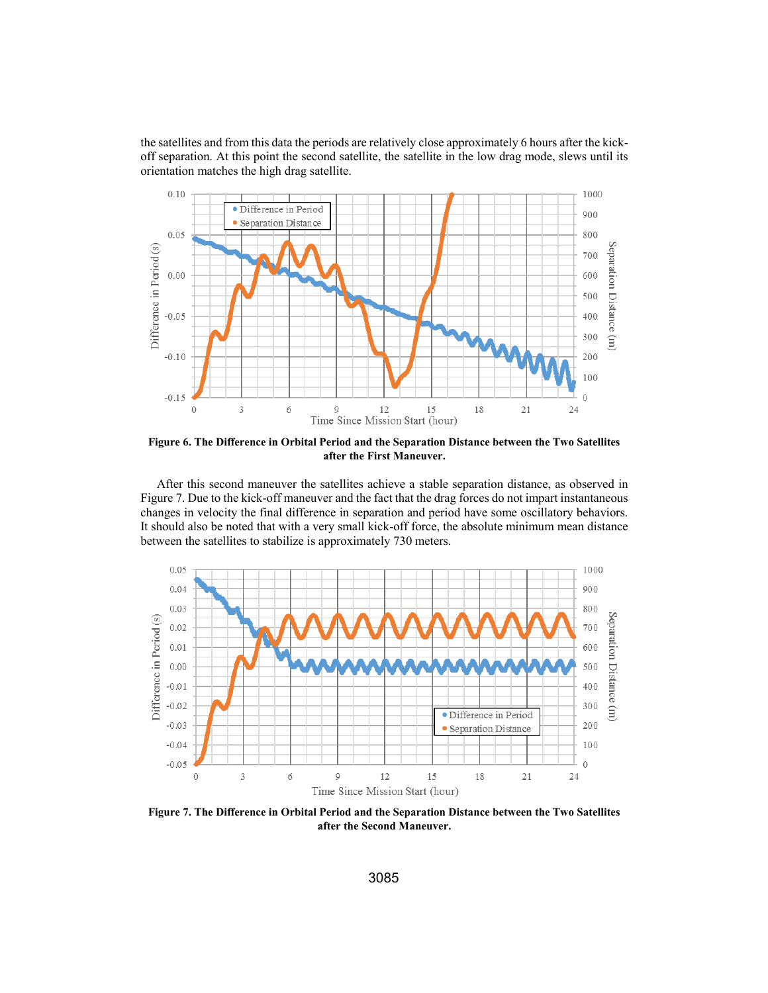the satellites and from this data the periods are relatively close approximately 6 hours after the kickoff separation. At this point the second satellite, the satellite in the low drag mode, slews until its orientation matches the high drag satellite.



**Figure 6. The Difference in Orbital Period and the Separation Distance between the Two Satellites after the First Maneuver.** 

After this second maneuver the satellites achieve a stable separation distance, as observed in Figure 7. Due to the kick-off maneuver and the fact that the drag forces do not impart instantaneous changes in velocity the final difference in separation and period have some oscillatory behaviors. It should also be noted that with a very small kick-off force, the absolute minimum mean distance between the satellites to stabilize is approximately 730 meters.



**Figure 7. The Difference in Orbital Period and the Separation Distance between the Two Satellites after the Second Maneuver.**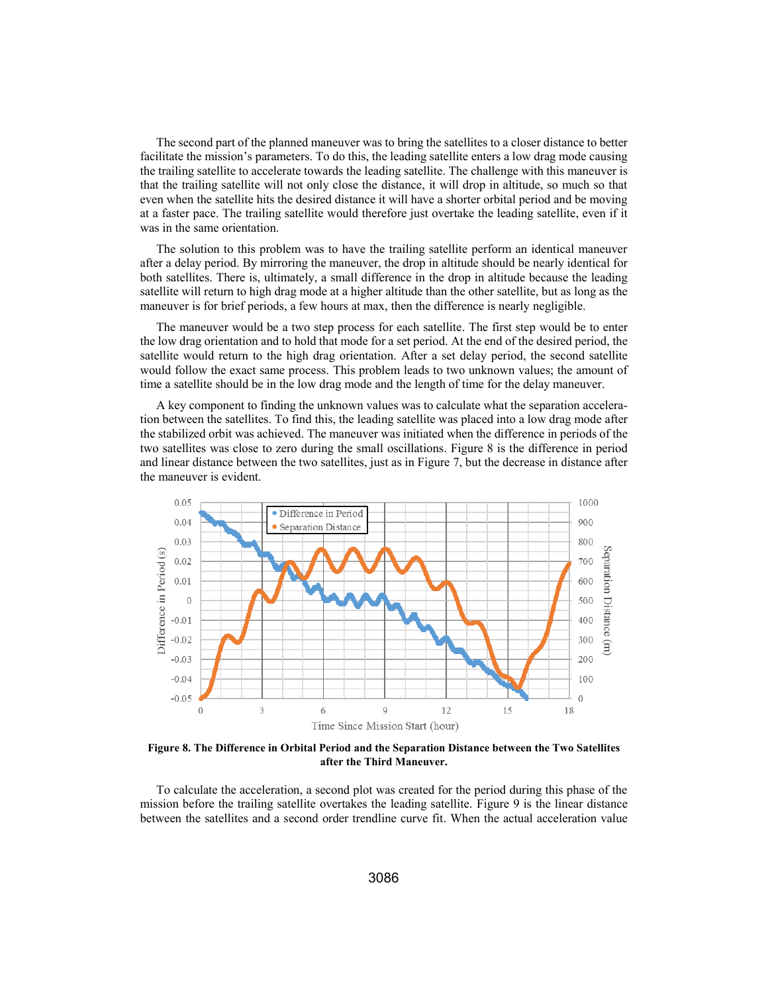The second part of the planned maneuver was to bring the satellites to a closer distance to better facilitate the mission's parameters. To do this, the leading satellite enters a low drag mode causing the trailing satellite to accelerate towards the leading satellite. The challenge with this maneuver is that the trailing satellite will not only close the distance, it will drop in altitude, so much so that even when the satellite hits the desired distance it will have a shorter orbital period and be moving at a faster pace. The trailing satellite would therefore just overtake the leading satellite, even if it was in the same orientation.

The solution to this problem was to have the trailing satellite perform an identical maneuver after a delay period. By mirroring the maneuver, the drop in altitude should be nearly identical for both satellites. There is, ultimately, a small difference in the drop in altitude because the leading satellite will return to high drag mode at a higher altitude than the other satellite, but as long as the maneuver is for brief periods, a few hours at max, then the difference is nearly negligible.

The maneuver would be a two step process for each satellite. The first step would be to enter the low drag orientation and to hold that mode for a set period. At the end of the desired period, the satellite would return to the high drag orientation. After a set delay period, the second satellite would follow the exact same process. This problem leads to two unknown values; the amount of time a satellite should be in the low drag mode and the length of time for the delay maneuver.

A key component to finding the unknown values was to calculate what the separation acceleration between the satellites. To find this, the leading satellite was placed into a low drag mode after the stabilized orbit was achieved. The maneuver was initiated when the difference in periods of the two satellites was close to zero during the small oscillations. Figure 8 is the difference in period and linear distance between the two satellites, just as in Figure 7, but the decrease in distance after the maneuver is evident.



**Figure 8. The Difference in Orbital Period and the Separation Distance between the Two Satellites after the Third Maneuver.** 

To calculate the acceleration, a second plot was created for the period during this phase of the mission before the trailing satellite overtakes the leading satellite. Figure 9 is the linear distance between the satellites and a second order trendline curve fit. When the actual acceleration value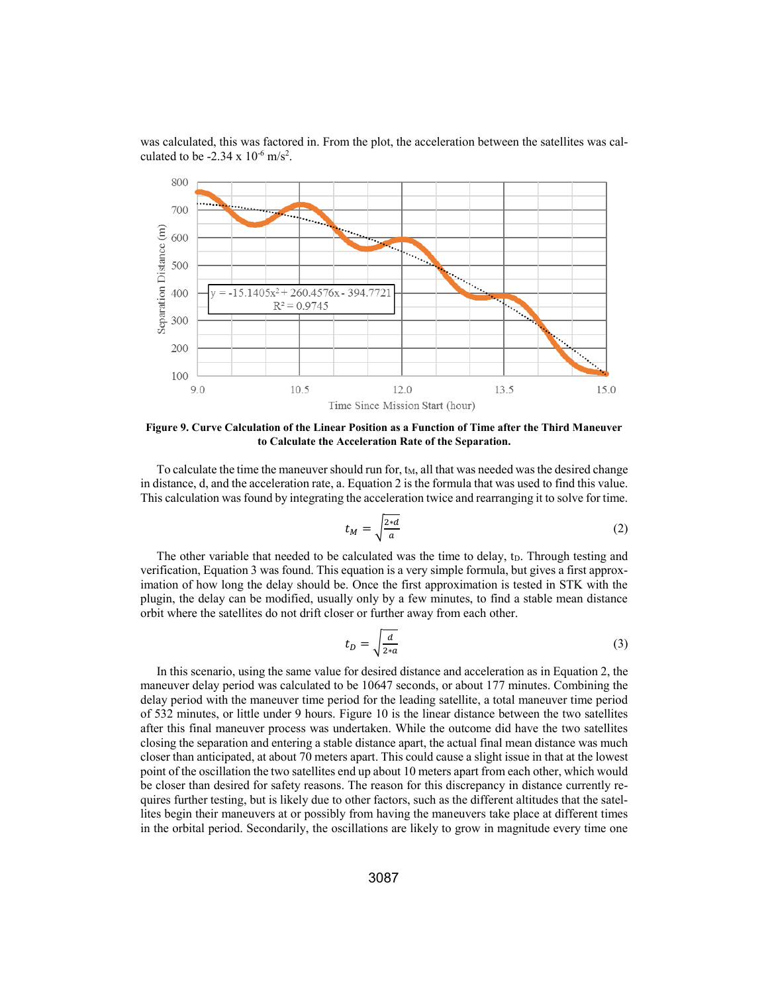

was calculated, this was factored in. From the plot, the acceleration between the satellites was calculated to be  $-2.34 \times 10^{-6}$  m/s<sup>2</sup>.

**Figure 9. Curve Calculation of the Linear Position as a Function of Time after the Third Maneuver to Calculate the Acceleration Rate of the Separation.** 

To calculate the time the maneuver should run for,  $t<sub>M</sub>$ , all that was needed was the desired change in distance, d, and the acceleration rate, a. Equation 2 is the formula that was used to find this value. This calculation was found by integrating the acceleration twice and rearranging it to solve for time.

$$
t_M = \sqrt{\frac{2 * d}{a}}\tag{2}
$$

The other variable that needed to be calculated was the time to delay,  $t<sub>D</sub>$ . Through testing and verification, Equation 3 was found. This equation is a very simple formula, but gives a first approximation of how long the delay should be. Once the first approximation is tested in STK with the plugin, the delay can be modified, usually only by a few minutes, to find a stable mean distance orbit where the satellites do not drift closer or further away from each other.

$$
t_D = \sqrt{\frac{d}{2 \cdot a}}\tag{3}
$$

In this scenario, using the same value for desired distance and acceleration as in Equation 2, the maneuver delay period was calculated to be 10647 seconds, or about 177 minutes. Combining the delay period with the maneuver time period for the leading satellite, a total maneuver time period of 532 minutes, or little under 9 hours. Figure 10 is the linear distance between the two satellites after this final maneuver process was undertaken. While the outcome did have the two satellites closing the separation and entering a stable distance apart, the actual final mean distance was much closer than anticipated, at about 70 meters apart. This could cause a slight issue in that at the lowest point of the oscillation the two satellites end up about 10 meters apart from each other, which would be closer than desired for safety reasons. The reason for this discrepancy in distance currently requires further testing, but is likely due to other factors, such as the different altitudes that the satellites begin their maneuvers at or possibly from having the maneuvers take place at different times in the orbital period. Secondarily, the oscillations are likely to grow in magnitude every time one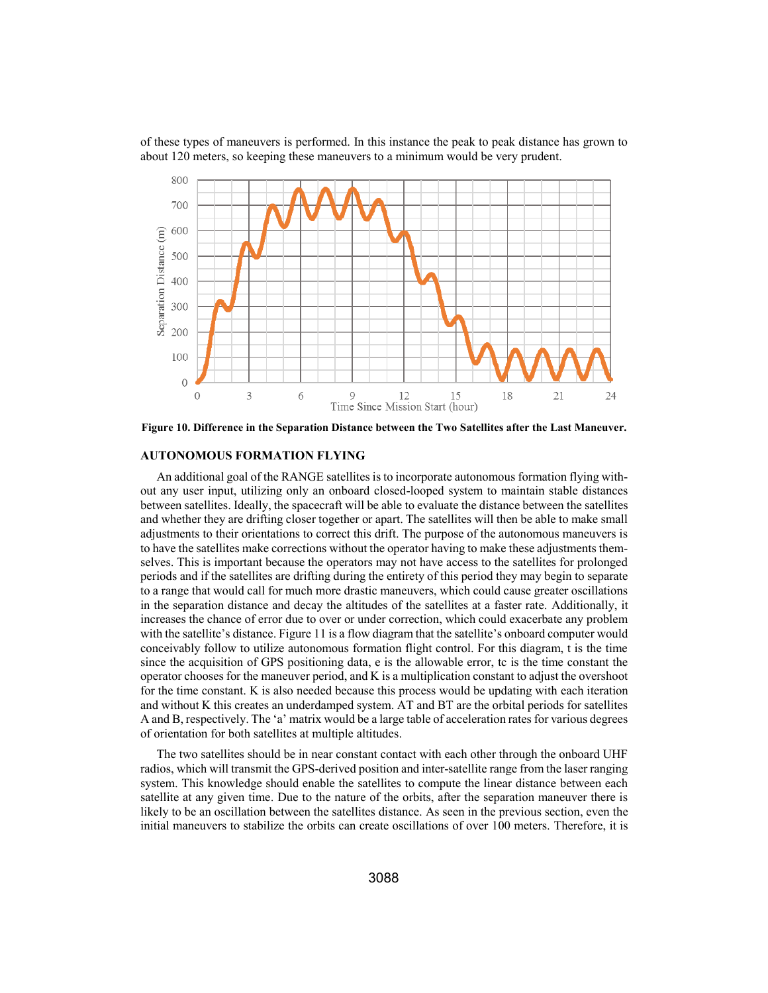of these types of maneuvers is performed. In this instance the peak to peak distance has grown to about 120 meters, so keeping these maneuvers to a minimum would be very prudent.



**Figure 10. Difference in the Separation Distance between the Two Satellites after the Last Maneuver.** 

## **AUTONOMOUS FORMATION FLYING**

An additional goal of the RANGE satellites is to incorporate autonomous formation flying without any user input, utilizing only an onboard closed-looped system to maintain stable distances between satellites. Ideally, the spacecraft will be able to evaluate the distance between the satellites and whether they are drifting closer together or apart. The satellites will then be able to make small adjustments to their orientations to correct this drift. The purpose of the autonomous maneuvers is to have the satellites make corrections without the operator having to make these adjustments themselves. This is important because the operators may not have access to the satellites for prolonged periods and if the satellites are drifting during the entirety of this period they may begin to separate to a range that would call for much more drastic maneuvers, which could cause greater oscillations in the separation distance and decay the altitudes of the satellites at a faster rate. Additionally, it increases the chance of error due to over or under correction, which could exacerbate any problem with the satellite's distance. Figure 11 is a flow diagram that the satellite's onboard computer would conceivably follow to utilize autonomous formation flight control. For this diagram, t is the time since the acquisition of GPS positioning data, e is the allowable error, tc is the time constant the operator chooses for the maneuver period, and K is a multiplication constant to adjust the overshoot for the time constant. K is also needed because this process would be updating with each iteration and without K this creates an underdamped system. AT and BT are the orbital periods for satellites A and B, respectively. The 'a' matrix would be a large table of acceleration rates for various degrees of orientation for both satellites at multiple altitudes.

The two satellites should be in near constant contact with each other through the onboard UHF radios, which will transmit the GPS-derived position and inter-satellite range from the laser ranging system. This knowledge should enable the satellites to compute the linear distance between each satellite at any given time. Due to the nature of the orbits, after the separation maneuver there is likely to be an oscillation between the satellites distance. As seen in the previous section, even the initial maneuvers to stabilize the orbits can create oscillations of over 100 meters. Therefore, it is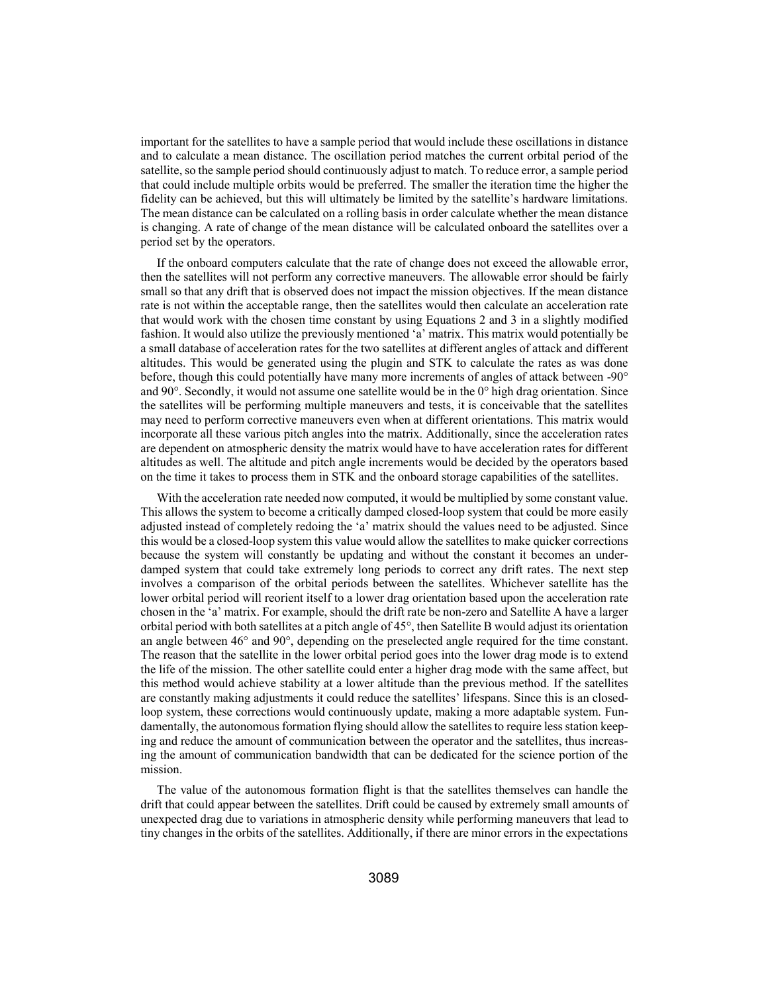important for the satellites to have a sample period that would include these oscillations in distance and to calculate a mean distance. The oscillation period matches the current orbital period of the satellite, so the sample period should continuously adjust to match. To reduce error, a sample period that could include multiple orbits would be preferred. The smaller the iteration time the higher the fidelity can be achieved, but this will ultimately be limited by the satellite's hardware limitations. The mean distance can be calculated on a rolling basis in order calculate whether the mean distance is changing. A rate of change of the mean distance will be calculated onboard the satellites over a period set by the operators.

If the onboard computers calculate that the rate of change does not exceed the allowable error, then the satellites will not perform any corrective maneuvers. The allowable error should be fairly small so that any drift that is observed does not impact the mission objectives. If the mean distance rate is not within the acceptable range, then the satellites would then calculate an acceleration rate that would work with the chosen time constant by using Equations 2 and 3 in a slightly modified fashion. It would also utilize the previously mentioned 'a' matrix. This matrix would potentially be a small database of acceleration rates for the two satellites at different angles of attack and different altitudes. This would be generated using the plugin and STK to calculate the rates as was done before, though this could potentially have many more increments of angles of attack between -90° and 90 $^{\circ}$ . Secondly, it would not assume one satellite would be in the 0 $^{\circ}$  high drag orientation. Since the satellites will be performing multiple maneuvers and tests, it is conceivable that the satellites may need to perform corrective maneuvers even when at different orientations. This matrix would incorporate all these various pitch angles into the matrix. Additionally, since the acceleration rates are dependent on atmospheric density the matrix would have to have acceleration rates for different altitudes as well. The altitude and pitch angle increments would be decided by the operators based on the time it takes to process them in STK and the onboard storage capabilities of the satellites.

With the acceleration rate needed now computed, it would be multiplied by some constant value. This allows the system to become a critically damped closed-loop system that could be more easily adjusted instead of completely redoing the 'a' matrix should the values need to be adjusted. Since this would be a closed-loop system this value would allow the satellites to make quicker corrections because the system will constantly be updating and without the constant it becomes an underdamped system that could take extremely long periods to correct any drift rates. The next step involves a comparison of the orbital periods between the satellites. Whichever satellite has the lower orbital period will reorient itself to a lower drag orientation based upon the acceleration rate chosen in the 'a' matrix. For example, should the drift rate be non-zero and Satellite A have a larger orbital period with both satellites at a pitch angle of 45°, then Satellite B would adjust its orientation an angle between 46° and 90°, depending on the preselected angle required for the time constant. The reason that the satellite in the lower orbital period goes into the lower drag mode is to extend the life of the mission. The other satellite could enter a higher drag mode with the same affect, but this method would achieve stability at a lower altitude than the previous method. If the satellites are constantly making adjustments it could reduce the satellites' lifespans. Since this is an closedloop system, these corrections would continuously update, making a more adaptable system. Fundamentally, the autonomous formation flying should allow the satellites to require less station keeping and reduce the amount of communication between the operator and the satellites, thus increasing the amount of communication bandwidth that can be dedicated for the science portion of the mission.

The value of the autonomous formation flight is that the satellites themselves can handle the drift that could appear between the satellites. Drift could be caused by extremely small amounts of unexpected drag due to variations in atmospheric density while performing maneuvers that lead to tiny changes in the orbits of the satellites. Additionally, if there are minor errors in the expectations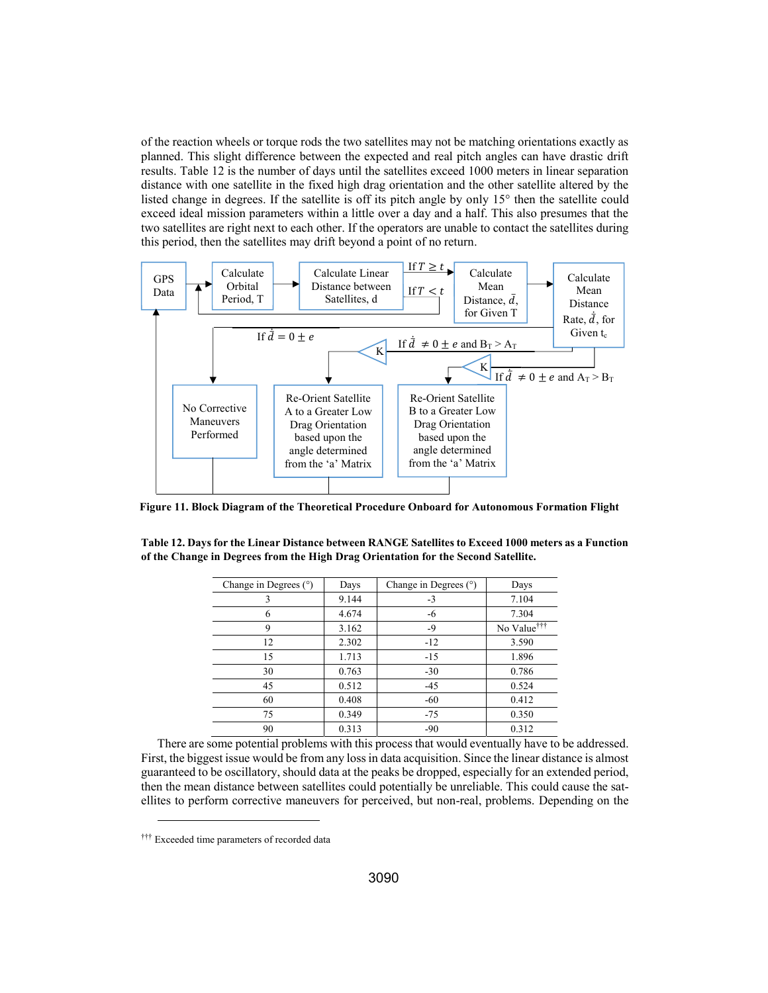of the reaction wheels or torque rods the two satellites may not be matching orientations exactly as planned. This slight difference between the expected and real pitch angles can have drastic drift results. Table 12 is the number of days until the satellites exceed 1000 meters in linear separation distance with one satellite in the fixed high drag orientation and the other satellite altered by the listed change in degrees. If the satellite is off its pitch angle by only 15° then the satellite could exceed ideal mission parameters within a little over a day and a half. This also presumes that the two satellites are right next to each other. If the operators are unable to contact the satellites during this period, then the satellites may drift beyond a point of no return.



**Figure 11. Block Diagram of the Theoretical Procedure Onboard for Autonomous Formation Flight** 

| Table 12. Days for the Linear Distance between RANGE Satellites to Exceed 1000 meters as a Function |
|-----------------------------------------------------------------------------------------------------|
| of the Change in Degrees from the High Drag Orientation for the Second Satellite.                   |
|                                                                                                     |

| Change in Degrees $(°)$ | Days  | Change in Degrees $(°)$ | Days                    |
|-------------------------|-------|-------------------------|-------------------------|
| 3                       | 9.144 | $-3$                    | 7.104                   |
| 6                       | 4.674 | -6                      | 7.304                   |
| 9                       | 3.162 | $-9$                    | No Value <sup>†††</sup> |
| 12                      | 2.302 | $-12$                   | 3.590                   |
| 15                      | 1.713 | $-15$                   | 1.896                   |
| 30                      | 0.763 | $-30$                   | 0.786                   |
| 45                      | 0.512 | $-45$                   | 0.524                   |
| 60                      | 0.408 | $-60$                   | 0.412                   |
| 75                      | 0.349 | $-75$                   | 0.350                   |
| 90                      | 0.313 | -90                     | 0.312                   |

There are some potential problems with this process that would eventually have to be addressed. First, the biggest issue would be from any loss in data acquisition. Since the linear distance is almost guaranteed to be oscillatory, should data at the peaks be dropped, especially for an extended period, then the mean distance between satellites could potentially be unreliable. This could cause the satellites to perform corrective maneuvers for perceived, but non-real, problems. Depending on the

l

<sup>†††</sup> Exceeded time parameters of recorded data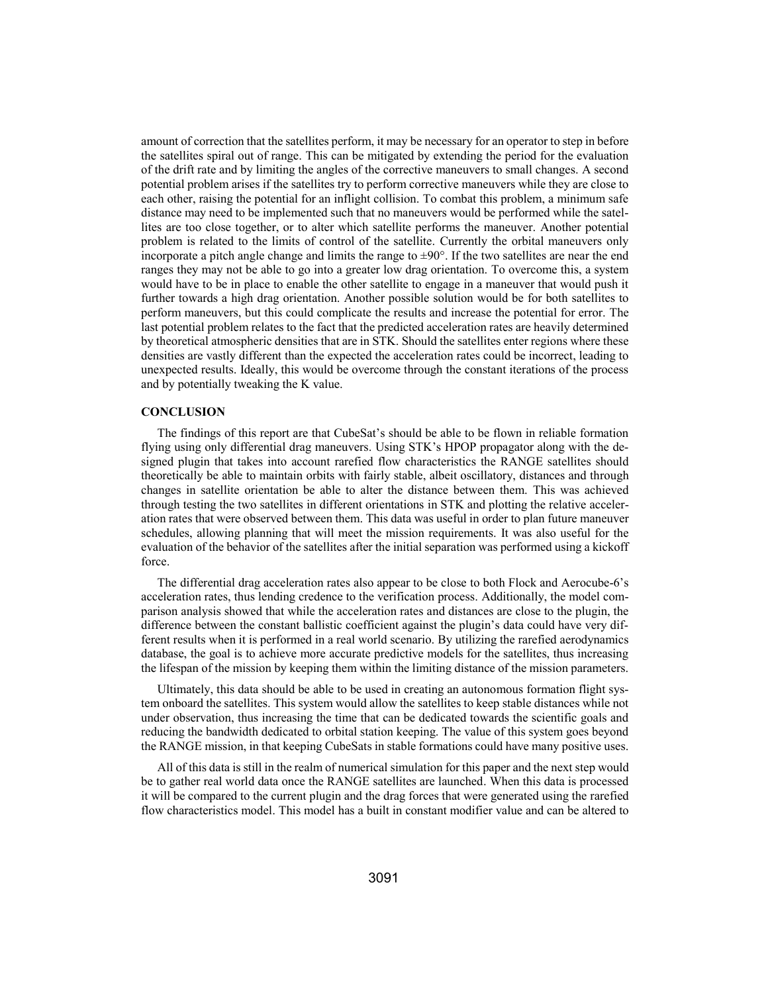amount of correction that the satellites perform, it may be necessary for an operator to step in before the satellites spiral out of range. This can be mitigated by extending the period for the evaluation of the drift rate and by limiting the angles of the corrective maneuvers to small changes. A second potential problem arises if the satellites try to perform corrective maneuvers while they are close to each other, raising the potential for an inflight collision. To combat this problem, a minimum safe distance may need to be implemented such that no maneuvers would be performed while the satellites are too close together, or to alter which satellite performs the maneuver. Another potential problem is related to the limits of control of the satellite. Currently the orbital maneuvers only incorporate a pitch angle change and limits the range to  $\pm 90^\circ$ . If the two satellites are near the end ranges they may not be able to go into a greater low drag orientation. To overcome this, a system would have to be in place to enable the other satellite to engage in a maneuver that would push it further towards a high drag orientation. Another possible solution would be for both satellites to perform maneuvers, but this could complicate the results and increase the potential for error. The last potential problem relates to the fact that the predicted acceleration rates are heavily determined by theoretical atmospheric densities that are in STK. Should the satellites enter regions where these densities are vastly different than the expected the acceleration rates could be incorrect, leading to unexpected results. Ideally, this would be overcome through the constant iterations of the process and by potentially tweaking the K value.

#### **CONCLUSION**

The findings of this report are that CubeSat's should be able to be flown in reliable formation flying using only differential drag maneuvers. Using STK's HPOP propagator along with the designed plugin that takes into account rarefied flow characteristics the RANGE satellites should theoretically be able to maintain orbits with fairly stable, albeit oscillatory, distances and through changes in satellite orientation be able to alter the distance between them. This was achieved through testing the two satellites in different orientations in STK and plotting the relative acceleration rates that were observed between them. This data was useful in order to plan future maneuver schedules, allowing planning that will meet the mission requirements. It was also useful for the evaluation of the behavior of the satellites after the initial separation was performed using a kickoff force.

The differential drag acceleration rates also appear to be close to both Flock and Aerocube-6's acceleration rates, thus lending credence to the verification process. Additionally, the model comparison analysis showed that while the acceleration rates and distances are close to the plugin, the difference between the constant ballistic coefficient against the plugin's data could have very different results when it is performed in a real world scenario. By utilizing the rarefied aerodynamics database, the goal is to achieve more accurate predictive models for the satellites, thus increasing the lifespan of the mission by keeping them within the limiting distance of the mission parameters.

Ultimately, this data should be able to be used in creating an autonomous formation flight system onboard the satellites. This system would allow the satellites to keep stable distances while not under observation, thus increasing the time that can be dedicated towards the scientific goals and reducing the bandwidth dedicated to orbital station keeping. The value of this system goes beyond the RANGE mission, in that keeping CubeSats in stable formations could have many positive uses.

All of this data is still in the realm of numerical simulation for this paper and the next step would be to gather real world data once the RANGE satellites are launched. When this data is processed it will be compared to the current plugin and the drag forces that were generated using the rarefied flow characteristics model. This model has a built in constant modifier value and can be altered to